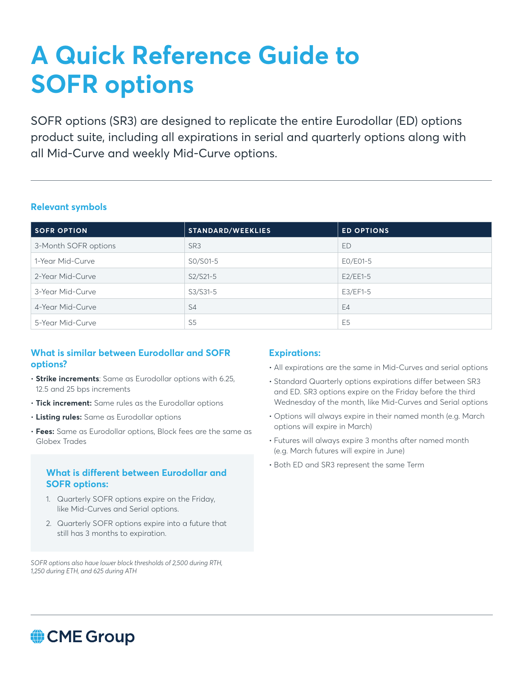# **A Quick Reference Guide to SOFR options**

SOFR options (SR3) are designed to replicate the entire Eurodollar (ED) options product suite, including all expirations in serial and quarterly options along with all Mid-Curve and weekly Mid-Curve options.

#### **Relevant symbols**

| <b>SOFR OPTION</b>   | <b>STANDARD/WEEKLIES</b> | <b>ED OPTIONS</b> |  |
|----------------------|--------------------------|-------------------|--|
| 3-Month SOFR options | SR <sub>3</sub>          | ED                |  |
| 1-Year Mid-Curve     | S0/S01-5                 | EO/E01-5          |  |
| 2-Year Mid-Curve     | S2/S21-5                 | $E2/EE1-5$        |  |
| 3-Year Mid-Curve     | S3/S31-5                 | $E3/EF1-5$        |  |
| 4-Year Mid-Curve     | S <sub>4</sub>           | E4                |  |
| 5-Year Mid-Curve     | S <sub>5</sub>           | E <sub>5</sub>    |  |

#### **What is similar between Eurodollar and SOFR options?**

- **Strike increments**: Same as Eurodollar options with 6.25, 12.5 and 25 bps increments
- **Tick increment:** Same rules as the Eurodollar options
- **Listing rules:** Same as Eurodollar options
- **Fees:** Same as Eurodollar options, Block fees are the same as Globex Trades

### **What is different between Eurodollar and SOFR options:**

- 1. Quarterly SOFR options expire on the Friday, like Mid-Curves and Serial options.
- 2. Quarterly SOFR options expire into a future that still has 3 months to expiration.

*SOFR options also have lower block thresholds of 2,500 during RTH, 1,250 during ETH, and 625 during ATH*

#### **Expirations:**

- All expirations are the same in Mid-Curves and serial options
- Standard Quarterly options expirations differ between SR3 and ED. SR3 options expire on the Friday before the third Wednesday of the month, like Mid-Curves and Serial options
- Options will always expire in their named month (e.g. March options will expire in March)
- Futures will always expire 3 months after named month (e.g. March futures will expire in June)
- Both ED and SR3 represent the same Term

## CME Group